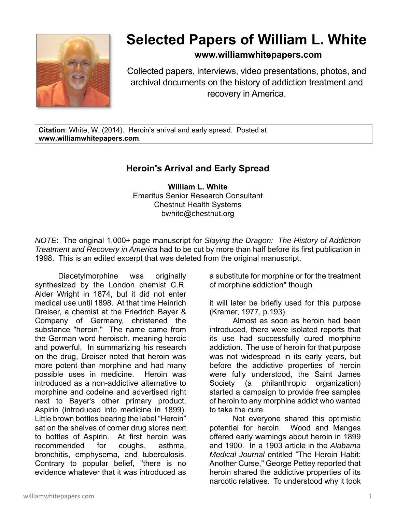

## **Selected Papers of William L. White**

## **www.williamwhitepapers.com**

Collected papers, interviews, video presentations, photos, and archival documents on the history of addiction treatment and recovery in America.

**Citation**: White, W. (2014). Heroin's arrival and early spread. Posted at **www.williamwhitepapers.com**.

## **Heroin's Arrival and Early Spread**

**William L. White**  Emeritus Senior Research Consultant Chestnut Health Systems bwhite@chestnut.org

*NOTE*: The original 1,000+ page manuscript for *Slaying the Dragon: The History of Addiction Treatment and Recovery in America* had to be cut by more than half before its first publication in 1998. This is an edited excerpt that was deleted from the original manuscript.

Diacetylmorphine was originally synthesized by the London chemist C.R. Alder Wright in 1874, but it did not enter medical use until 1898. At that time Heinrich Dreiser, a chemist at the Friedrich Bayer & Company of Germany, christened the substance "heroin." The name came from the German word heroisch, meaning heroic and powerful. In summarizing his research on the drug, Dreiser noted that heroin was more potent than morphine and had many possible uses in medicine. Heroin was introduced as a non-addictive alternative to morphine and codeine and advertised right next to Bayer's other primary product, Aspirin (introduced into medicine in 1899). Little brown bottles bearing the label "Heroin" sat on the shelves of corner drug stores next to bottles of Aspirin. At first heroin was recommended for coughs, asthma, bronchitis, emphysema, and tuberculosis. Contrary to popular belief, "there is no evidence whatever that it was introduced as

a substitute for morphine or for the treatment of morphine addiction" though

it will later be briefly used for this purpose (Kramer, 1977, p.193).

Almost as soon as heroin had been introduced, there were isolated reports that its use had successfully cured morphine addiction. The use of heroin for that purpose was not widespread in its early years, but before the addictive properties of heroin were fully understood, the Saint James Society (a philanthropic organization) started a campaign to provide free samples of heroin to any morphine addict who wanted to take the cure.

Not everyone shared this optimistic potential for heroin. Wood and Manges offered early warnings about heroin in 1899 and 1900. In a 1903 article in the *Alabama Medical Journal* entitled "The Heroin Habit: Another Curse," George Pettey reported that heroin shared the addictive properties of its narcotic relatives. To understood why it took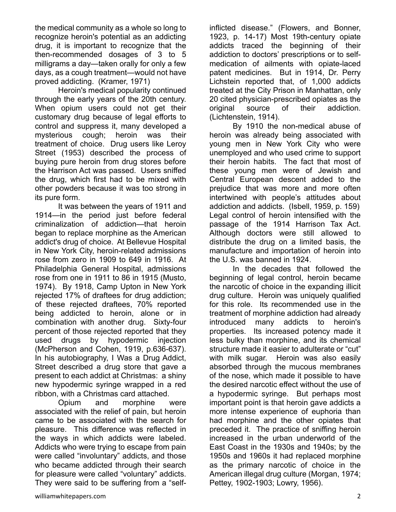the medical community as a whole so long to recognize heroin's potential as an addicting drug, it is important to recognize that the then-recommended dosages of 3 to 5 milligrams a day—taken orally for only a few days, as a cough treatment—would not have proved addicting. (Kramer, 1971)

Heroin's medical popularity continued through the early years of the 20th century. When opium users could not get their customary drug because of legal efforts to control and suppress it, many developed a mysterious cough; heroin was their treatment of choice. Drug users like Leroy Street (1953) described the process of buying pure heroin from drug stores before the Harrison Act was passed. Users sniffed the drug, which first had to be mixed with other powders because it was too strong in its pure form.

It was between the years of 1911 and 1914—in the period just before federal criminalization of addiction—that heroin began to replace morphine as the American addict's drug of choice. At Bellevue Hospital in New York City, heroin-related admissions rose from zero in 1909 to 649 in 1916. At Philadelphia General Hospital, admissions rose from one in 1911 to 86 in 1915 (Musto, 1974). By 1918, Camp Upton in New York rejected 17% of draftees for drug addiction; of these rejected draftees, 70% reported being addicted to heroin, alone or in combination with another drug. Sixty-four percent of those rejected reported that they used drugs by hypodermic injection (McPherson and Cohen, 1919, p.636-637). In his autobiography, I Was a Drug Addict, Street described a drug store that gave a present to each addict at Christmas: a shiny new hypodermic syringe wrapped in a red ribbon, with a Christmas card attached.

Opium and morphine were associated with the relief of pain, but heroin came to be associated with the search for pleasure. This difference was reflected in the ways in which addicts were labeled. Addicts who were trying to escape from pain were called "involuntary" addicts, and those who became addicted through their search for pleasure were called "voluntary" addicts. They were said to be suffering from a "selfinflicted disease." (Flowers, and Bonner, 1923, p. 14-17) Most 19th-century opiate addicts traced the beginning of their addiction to doctors' prescriptions or to selfmedication of ailments with opiate-laced patent medicines. But in 1914, Dr. Perry Lichstein reported that, of 1,000 addicts treated at the City Prison in Manhattan, only 20 cited physician-prescribed opiates as the original source of their addiction. (Lichtenstein, 1914).

By 1910 the non-medical abuse of heroin was already being associated with young men in New York City who were unemployed and who used crime to support their heroin habits. The fact that most of these young men were of Jewish and Central European descent added to the prejudice that was more and more often intertwined with people's attitudes about addiction and addicts. (Isbell, 1959, p. 159) Legal control of heroin intensified with the passage of the 1914 Harrison Tax Act. Although doctors were still allowed to distribute the drug on a limited basis, the manufacture and importation of heroin into the U.S. was banned in 1924.

In the decades that followed the beginning of legal control, heroin became the narcotic of choice in the expanding illicit drug culture. Heroin was uniquely qualified for this role. Its recommended use in the treatment of morphine addiction had already introduced many addicts to heroin's properties. Its increased potency made it less bulky than morphine, and its chemical structure made it easier to adulterate or "cut" with milk sugar. Heroin was also easily absorbed through the mucous membranes of the nose, which made it possible to have the desired narcotic effect without the use of a hypodermic syringe. But perhaps most important point is that heroin gave addicts a more intense experience of euphoria than had morphine and the other opiates that preceded it. The practice of sniffing heroin increased in the urban underworld of the East Coast in the 1930s and 1940s; by the 1950s and 1960s it had replaced morphine as the primary narcotic of choice in the American illegal drug culture (Morgan, 1974; Pettey, 1902-1903; Lowry, 1956).